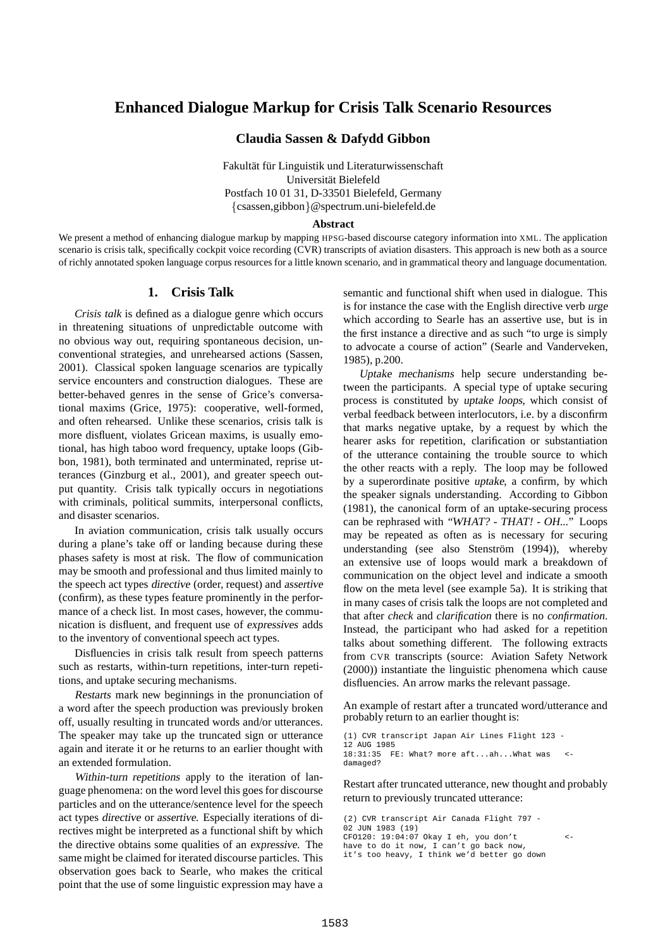# **Enhanced Dialogue Markup for Crisis Talk Scenario Resources**

## **Claudia Sassen & Dafydd Gibbon**

Fakultät für Linguistik und Literaturwissenschaft Universität Bielefeld Postfach 10 01 31, D-33501 Bielefeld, Germany {csassen,gibbon}@spectrum.uni-bielefeld.de

#### **Abstract**

We present a method of enhancing dialogue markup by mapping HPSG-based discourse category information into XML. The application scenario is crisis talk, specifically cockpit voice recording (CVR) transcripts of aviation disasters. This approach is new both as a source of richly annotated spoken language corpus resources for a little known scenario, and in grammatical theory and language documentation.

# **1. Crisis Talk**

*Crisis talk* is defined as a dialogue genre which occurs in threatening situations of unpredictable outcome with no obvious way out, requiring spontaneous decision, unconventional strategies, and unrehearsed actions (Sassen, 2001). Classical spoken language scenarios are typically service encounters and construction dialogues. These are better-behaved genres in the sense of Grice's conversational maxims (Grice, 1975): cooperative, well-formed, and often rehearsed. Unlike these scenarios, crisis talk is more disfluent, violates Gricean maxims, is usually emotional, has high taboo word frequency, uptake loops (Gibbon, 1981), both terminated and unterminated, reprise utterances (Ginzburg et al., 2001), and greater speech output quantity. Crisis talk typically occurs in negotiations with criminals, political summits, interpersonal conflicts, and disaster scenarios.

In aviation communication, crisis talk usually occurs during a plane's take off or landing because during these phases safety is most at risk. The flow of communication may be smooth and professional and thus limited mainly to the speech act types directive (order, request) and assertive (confirm), as these types feature prominently in the performance of a check list. In most cases, however, the communication is disfluent, and frequent use of expressives adds to the inventory of conventional speech act types.

Disfluencies in crisis talk result from speech patterns such as restarts, within-turn repetitions, inter-turn repetitions, and uptake securing mechanisms.

Restarts mark new beginnings in the pronunciation of a word after the speech production was previously broken off, usually resulting in truncated words and/or utterances. The speaker may take up the truncated sign or utterance again and iterate it or he returns to an earlier thought with an extended formulation.

Within-turn repetitions apply to the iteration of language phenomena: on the word level this goes for discourse particles and on the utterance/sentence level for the speech act types directive or assertive. Especially iterations of directives might be interpreted as a functional shift by which the directive obtains some qualities of an expressive. The same might be claimed for iterated discourse particles. This observation goes back to Searle, who makes the critical point that the use of some linguistic expression may have a

semantic and functional shift when used in dialogue. This is for instance the case with the English directive verb urge which according to Searle has an assertive use, but is in the first instance a directive and as such "to urge is simply to advocate a course of action" (Searle and Vanderveken, 1985), p.200.

Uptake mechanisms help secure understanding between the participants. A special type of uptake securing process is constituted by uptake loops, which consist of verbal feedback between interlocutors, i.e. by a disconfirm that marks negative uptake, by a request by which the hearer asks for repetition, clarification or substantiation of the utterance containing the trouble source to which the other reacts with a reply. The loop may be followed by a superordinate positive uptake, a confirm, by which the speaker signals understanding. According to Gibbon (1981), the canonical form of an uptake-securing process can be rephrased with "WHAT? - THAT! - OH..." Loops may be repeated as often as is necessary for securing understanding (see also Stenström (1994)), whereby an extensive use of loops would mark a breakdown of communication on the object level and indicate a smooth flow on the meta level (see example 5a). It is striking that in many cases of crisis talk the loops are not completed and that after *check* and *clarification* there is no *confirmation*. Instead, the participant who had asked for a repetition talks about something different. The following extracts from CVR transcripts (source: Aviation Safety Network (2000)) instantiate the linguistic phenomena which cause disfluencies. An arrow marks the relevant passage.

An example of restart after a truncated word/utterance and probably return to an earlier thought is:

(1) CVR transcript Japan Air Lines Flight 123 - 12 AUG 1985 18:31:35 FE: What? more aft...ah...What was < damaged?

Restart after truncated utterance, new thought and probably return to previously truncated utterance:

(2) CVR transcript Air Canada Flight 797 - 02 JUN 1983 (19) CFO120: 19:04:07 Okay I eh, you don't < have to do it now, I can't go back now, it's too heavy, I think we'd better go down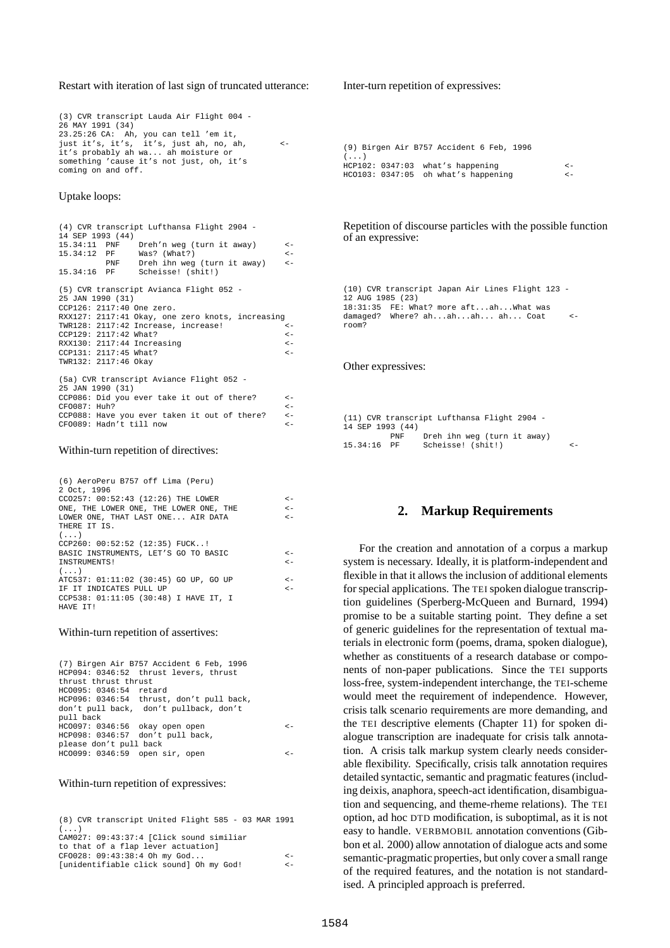### Restart with iteration of last sign of truncated utterance:

(3) CVR transcript Lauda Air Flight 004 - 26 MAY 1991 (34) 23.25:26 CA: Ah, you can tell 'em it, just it's, it's, it's, just ah, no, ah, < it's probably ah wa... ah moisture or something 'cause it's not just, oh, it's coming on and off.

### Uptake loops:

| 14 SEP 1993 (44)      | (4) CVR transcript Lufthansa Flight 2904 -       |              |
|-----------------------|--------------------------------------------------|--------------|
|                       | 15.34:11 PNF Dreh'n weg (turn it away)           | $\leftarrow$ |
|                       | 15.34:12 PF Was? (What?)                         | $\leftarrow$ |
|                       | PNF Dreh ihn weg (turn it away)                  | $\leftarrow$ |
|                       |                                                  |              |
|                       | 15.34:16 PF Scheisse! (shit!)                    |              |
|                       | (5) CVR transcript Avianca Flight 052 -          |              |
| 25 JAN 1990 (31)      |                                                  |              |
|                       | CCP126: 2117:40 One zero.                        |              |
|                       |                                                  |              |
|                       | RXX127: 2117:41 Okay, one zero knots, increasing |              |
|                       | TWR128: 2117:42 Increase, increase!              | $\leftarrow$ |
| CCP129: 2117:42 What? |                                                  | $\leftarrow$ |
|                       | RXX130: 2117:44 Increasing                       | $\leftarrow$ |
| CCP131: 2117:45 What? |                                                  | $\leftarrow$ |
| TWR132: 2117:46 Okay  |                                                  |              |
|                       | (5a) CVR transcript Aviance Flight 052 -         |              |
|                       |                                                  |              |
| 25 JAN 1990 (31)      |                                                  |              |
|                       | CCP086: Did you ever take it out of there?       | $\leftarrow$ |
| CFO087: Huh?          |                                                  | $\leftarrow$ |
|                       | CCP088: Have you ever taken it out of there?     | $\lt$ $-$    |

 $CFO089: Hadn't till now < <sub>5</sub>$ 

#### Within-turn repetition of directives:

(6) AeroPeru B757 off Lima (Peru)  $2000$ 

| - 7. JULI. - 1990                      |              |
|----------------------------------------|--------------|
| CCO257: 00:52:43 (12:26) THE LOWER     | $\lt -$      |
| ONE, THE LOWER ONE, THE LOWER ONE, THE | $\epsilon$ – |
| LOWER ONE, THAT LAST ONE AIR DATA      | $\lt$ $-$    |
| THERE IT IS.                           |              |
| $($                                    |              |
| CCP260: 00:52:52 (12:35) FUCK!         |              |
| BASIC INSTRUMENTS, LET'S GO TO BASIC   | $\lt$ $-$    |
| INSTRUMENTS!                           | $\epsilon$ – |
| $($                                    |              |
| ATC537: 01:11:02 (30:45) GO UP, GO UP  | $\lt$ $-$    |
| IF IT INDICATES PULL UP                | $\lt-$       |
| CCP538: 01:11:05 (30:48) I HAVE IT, I  |              |
| HAVE TT!                               |              |

## Within-turn repetition of assertives:

|                                  | (7) Birgen Air B757 Accident 6 Feb, 1996 |              |
|----------------------------------|------------------------------------------|--------------|
|                                  | HCP094: 0346:52 thrust levers, thrust    |              |
| thrust thrust thrust             |                                          |              |
| HCO095: 0346:54 retard           |                                          |              |
|                                  | HCP096: 0346:54 thrust, don't pull back, |              |
|                                  | don't pull back, don't pullback, don't   |              |
| pull back                        |                                          |              |
| HCO097: 0346:56 okay open open   |                                          | $\epsilon$ – |
| HCP098: 0346:57 don't pull back, |                                          |              |
| please don't pull back           |                                          |              |
| HCO099: 0346:59 open sir, open   |                                          | ← —          |

#### Within-turn repetition of expressives:

|            | (8) CVR transcript United Flight 585 - 03 MAR 1991 |  |  |  |              |
|------------|----------------------------------------------------|--|--|--|--------------|
| $(\ldots)$ |                                                    |  |  |  |              |
|            | CAM027: 09:43:37:4 [Click sound similiar           |  |  |  |              |
|            | to that of a flap lever actuationl                 |  |  |  |              |
|            | CF0028: 09:43:38:4 Oh my God                       |  |  |  | $\epsilon$ – |
|            | [unidentifiable click sound] Oh my God!            |  |  |  | $\epsilon$ - |

### Inter-turn repetition of expressives:

(9) Birgen Air B757 Accident 6 Feb, 1996  $($ HCP102: 0347:03 what's happening <-  $HCO103: 0347:05$  oh what's happening  $\leq$ 

Repetition of discourse particles with the possible function of an expressive:

(10) CVR transcript Japan Air Lines Flight 123 - 12 AUG 1985 (23) 18:31:35 FE: What? more aft...ah...What was damaged? Where? ah...ah...ah... ah... Coat room?

#### Other expressives:

(11) CVR transcript Lufthansa Flight 2904 - 14 SEP 1993 (44) PNF Dreh ihn weg (turn it away)<br>15.34:16 PF Scheisse! (shit!) Scheisse! (shit!)

## **2. Markup Requirements**

For the creation and annotation of a corpus a markup system is necessary. Ideally, it is platform-independent and flexible in that it allows the inclusion of additional elements for special applications. The TEI spoken dialogue transcription guidelines (Sperberg-McQueen and Burnard, 1994) promise to be a suitable starting point. They define a set of generic guidelines for the representation of textual materials in electronic form (poems, drama, spoken dialogue), whether as constituents of a research database or components of non-paper publications. Since the TEI supports loss-free, system-independent interchange, the TEI-scheme would meet the requirement of independence. However, crisis talk scenario requirements are more demanding, and the TEI descriptive elements (Chapter 11) for spoken dialogue transcription are inadequate for crisis talk annotation. A crisis talk markup system clearly needs considerable flexibility. Specifically, crisis talk annotation requires detailed syntactic, semantic and pragmatic features (including deixis, anaphora, speech-act identification, disambiguation and sequencing, and theme-rheme relations). The TEI option, ad hoc DTD modification, is suboptimal, as it is not easy to handle. VERBMOBIL annotation conventions (Gibbon et al. 2000) allow annotation of dialogue acts and some semantic-pragmatic properties, but only cover a small range of the required features, and the notation is not standardised. A principled approach is preferred.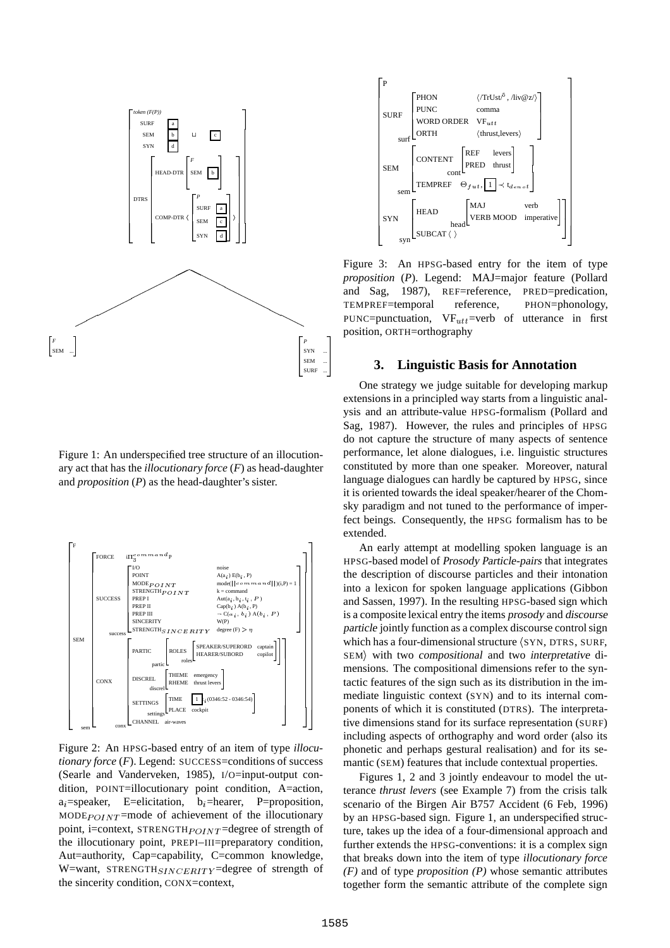

Figure 1: An underspecified tree structure of an illocutionary act that has the *illocutionary force* (*F*) as head-daughter and *proposition* (*P*) as the head-daughter's sister.



Figure 2: An HPSG-based entry of an item of type *illocutionary force* (*F*). Legend: SUCCESS=conditions of success (Searle and Vanderveken, 1985), I/O=input-output condition, POINT=illocutionary point condition, A=action,  $a_i$ =speaker, E=elicitation,  $b_i$ =hearer, P=proposition, MODE $P_{OINT}$ =mode of achievement of the illocutionary point, i=context, STRENGTH $_{POINT}$ =degree of strength of the illocutionary point, PREPI–III=preparatory condition, Aut=authority, Cap=capability, C=common knowledge, W=want, STRENGTH<sub>SINCERITY</sub>=degree of strength of the sincerity condition, CONX=context,



PUNC=punctuation,  $VF_{utt}$ =verb of utterance in first TEMPREF=temporal reference, PHON=phonology, Figure 3: An HPSG-based entry for the item of type *proposition* (*P*). Legend: MAJ=major feature (Pollard and Sag, 1987), REF=reference, PRED=predication, position, ORTH=orthography

## **3. Linguistic Basis for Annotation**

One strategy we judge suitable for developing markup extensions in a principled way starts from a linguistic analysis and an attribute-value HPSG-formalism (Pollard and Sag, 1987). However, the rules and principles of HPSG do not capture the structure of many aspects of sentence performance, let alone dialogues, i.e. linguistic structures constituted by more than one speaker. Moreover, natural language dialogues can hardly be captured by HPSG, since it is oriented towards the ideal speaker/hearer of the Chomsky paradigm and not tuned to the performance of imperfect beings. Consequently, the HPSG formalism has to be extended.

An early attempt at modelling spoken language is an HPSG-based model of Prosody Particle-pairs that integrates the description of discourse particles and their intonation into a lexicon for spoken language applications (Gibbon and Sassen, 1997). In the resulting HPSG-based sign which is a composite lexical entry the items prosody and discourse particle jointly function as a complex discourse control sign which has a four-dimensional structure  $\langle$  SYN, DTRS, SURF, SEM) with two compositional and two interpretative dimensions. The compositional dimensions refer to the syntactic features of the sign such as its distribution in the immediate linguistic context (SYN) and to its internal components of which it is constituted (DTRS). The interpretative dimensions stand for its surface representation (SURF) including aspects of orthography and word order (also its phonetic and perhaps gestural realisation) and for its semantic (SEM) features that include contextual properties.

Figures 1, 2 and 3 jointly endeavour to model the utterance *thrust levers* (see Example 7) from the crisis talk scenario of the Birgen Air B757 Accident (6 Feb, 1996) by an HPSG-based sign. Figure 1, an underspecified structure, takes up the idea of a four-dimensional approach and further extends the HPSG-conventions: it is a complex sign that breaks down into the item of type *illocutionary force (F)* and of type *proposition (P)* whose semantic attributes together form the semantic attribute of the complete sign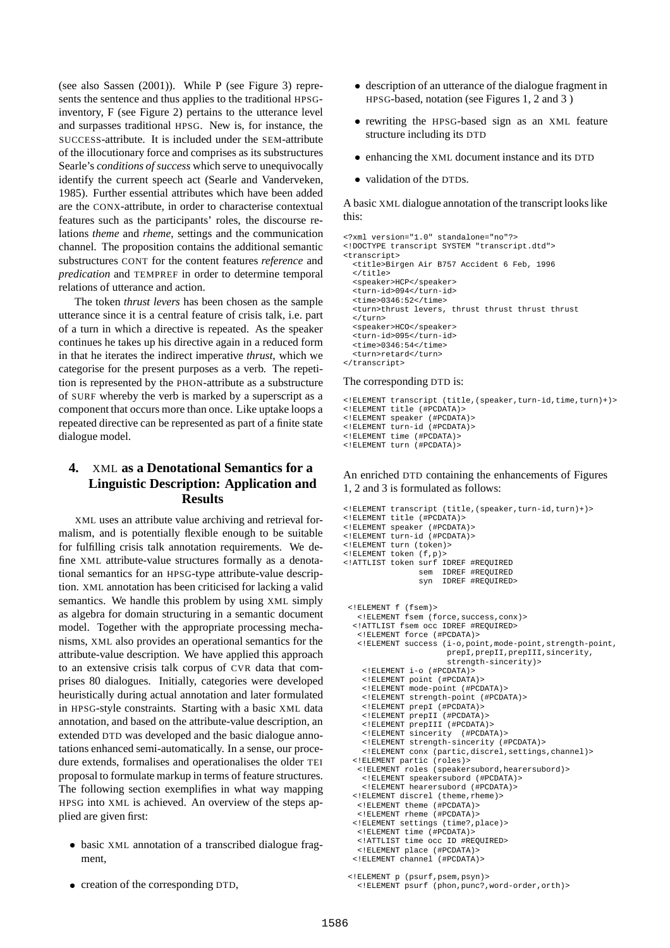(see also Sassen (2001)). While P (see Figure 3) represents the sentence and thus applies to the traditional HPSGinventory, F (see Figure 2) pertains to the utterance level and surpasses traditional HPSG. New is, for instance, the SUCCESS-attribute. It is included under the SEM-attribute of the illocutionary force and comprises as its substructures Searle's *conditions of success* which serve to unequivocally identify the current speech act (Searle and Vanderveken, 1985). Further essential attributes which have been added are the CONX-attribute, in order to characterise contextual features such as the participants' roles, the discourse relations *theme* and *rheme*, settings and the communication channel. The proposition contains the additional semantic substructures CONT for the content features *reference* and *predication* and TEMPREF in order to determine temporal relations of utterance and action.

The token *thrust levers* has been chosen as the sample utterance since it is a central feature of crisis talk, i.e. part of a turn in which a directive is repeated. As the speaker continues he takes up his directive again in a reduced form in that he iterates the indirect imperative *thrust*, which we categorise for the present purposes as a verb. The repetition is represented by the PHON-attribute as a substructure of SURF whereby the verb is marked by a superscript as a component that occurs more than once. Like uptake loops a repeated directive can be represented as part of a finite state dialogue model.

# **4.** XML **as a Denotational Semantics for a Linguistic Description: Application and Results**

XML uses an attribute value archiving and retrieval formalism, and is potentially flexible enough to be suitable for fulfilling crisis talk annotation requirements. We define XML attribute-value structures formally as a denotational semantics for an HPSG-type attribute-value description. XML annotation has been criticised for lacking a valid semantics. We handle this problem by using XML simply as algebra for domain structuring in a semantic document model. Together with the appropriate processing mechanisms, XML also provides an operational semantics for the attribute-value description. We have applied this approach to an extensive crisis talk corpus of CVR data that comprises 80 dialogues. Initially, categories were developed heuristically during actual annotation and later formulated in HPSG-style constraints. Starting with a basic XML data annotation, and based on the attribute-value description, an extended DTD was developed and the basic dialogue annotations enhanced semi-automatically. In a sense, our procedure extends, formalises and operationalises the older TEI proposal to formulate markup in terms of feature structures. The following section exemplifies in what way mapping HPSG into XML is achieved. An overview of the steps applied are given first:

- basic XML annotation of a transcribed dialogue fragment,
- creation of the corresponding DTD,
- description of an utterance of the dialogue fragment in HPSG-based, notation (see Figures 1, 2 and 3 )
- rewriting the HPSG-based sign as an XML feature structure including its DTD
- enhancing the XML document instance and its DTD
- validation of the DTDs.

A basic XML dialogue annotation of the transcript lookslike this:

```
<?xml version="1.0" standalone="no"?>
<!DOCTYPE transcript SYSTEM "transcript.dtd">
<transcript>
 <title>Birgen Air B757 Accident 6 Feb, 1996
  \epsilon/titles
 <speaker>HCP</speaker>
 <turn-id>094</turn-id>
  <time>0346:52</time>
  <turn>thrust levers, thrust thrust thrust thrust
 </turn>
 <speaker>HCO</speaker>
  <turn-id>095</turn-id>
 <time>0346:54</time>
  <turn>retard</turn>
</transcript>
```
#### The corresponding DTD is:

```
<!ELEMENT transcript (title,(speaker,turn-id,time,turn)+)>
<!ELEMENT title (#PCDATA)>
<!ELEMENT speaker (#PCDATA)>
<!ELEMENT turn-id (#PCDATA)>
<!ELEMENT time (#PCDATA)>
<!ELEMENT turn (#PCDATA)>
```
An enriched DTD containing the enhancements of Figures 1, 2 and 3 is formulated as follows:

```
<!ELEMENT transcript (title,(speaker,turn-id,turn)+)>
<!ELEMENT title (#PCDATA)>
<!ELEMENT speaker (#PCDATA)>
<!ELEMENT turn-id (#PCDATA)>
<!ELEMENT turn (token)>
<!ELEMENT token (f,p)>
<!ATTLIST token surf IDREF #REQUIRED
                sem IDREF #REQUIRED
                syn IDREF #REQUIRED>
 <!ELEMENT f (fsem)>
   <!ELEMENT fsem (force,success,conx)>
  <!ATTLIST fsem occ IDREF #REQUIRED>
   <!ELEMENT force (#PCDATA)>
   <!ELEMENT success (i-o,point,mode-point,strength-point,
                      prepI, prepII, prepIII, sincerity,
                      strength-sincerity)>
    <!ELEMENT i-o (#PCDATA)>
    <!ELEMENT point (#PCDATA)>
    <!ELEMENT mode-point (#PCDATA)>
    <!ELEMENT strength-point (#PCDATA)>
    <!ELEMENT prepI (#PCDATA)>
    <!ELEMENT prepII (#PCDATA)>
    <!ELEMENT prepIII (#PCDATA)>
    <!ELEMENT sincerity (#PCDATA)>
    <!ELEMENT strength-sincerity (#PCDATA)>
    <!ELEMENT conx (partic,discrel,settings,channel)>
  <!ELEMENT partic (roles)>
   <!ELEMENT roles (speakersubord,hearersubord)>
    <!ELEMENT speakersubord (#PCDATA)>
    <!ELEMENT hearersubord (#PCDATA)>
  <!ELEMENT discrel (theme,rheme)>
   <!ELEMENT theme (#PCDATA)>
   <!ELEMENT rheme (#PCDATA)>
  <!ELEMENT settings (time?,place)>
   <!ELEMENT time (#PCDATA)>
   <!ATTLIST time occ ID #REQUIRED>
   <!ELEMENT place (#PCDATA)>
  <!ELEMENT channel (#PCDATA)>
```
<sup>&</sup>lt;!ELEMENT p (psurf,psem,psyn)> <!ELEMENT psurf (phon,punc?,word-order,orth)>